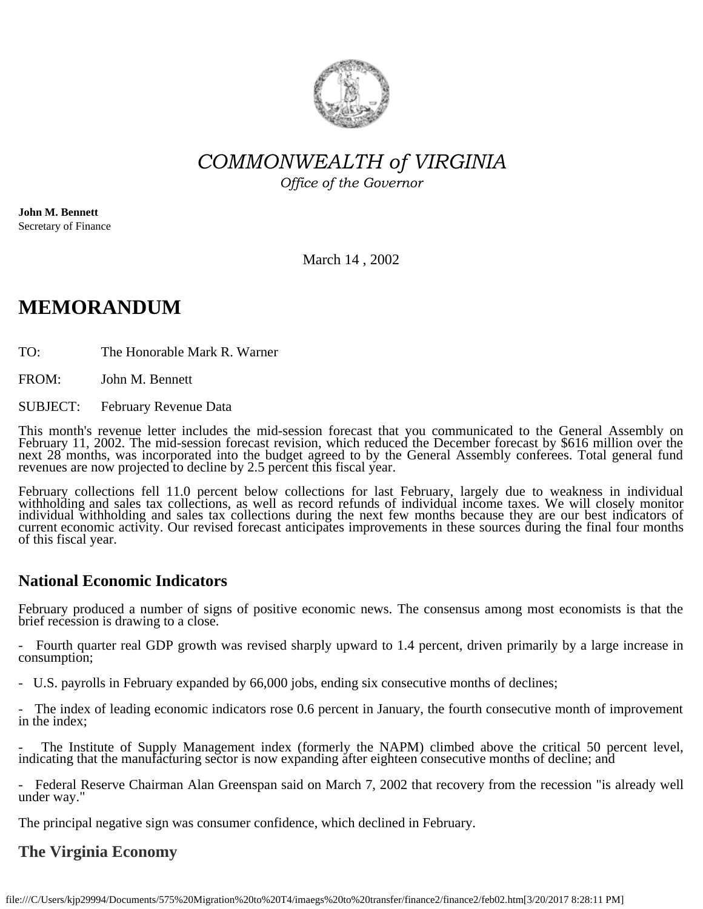

*COMMONWEALTH of VIRGINIA*

*Office of the Governor*

**John M. Bennett** Secretary of Finance

March 14 , 2002

# **MEMORANDUM**

TO: The Honorable Mark R. Warner

FROM: John M. Bennett

SUBJECT: February Revenue Data

This month's revenue letter includes the mid-session forecast that you communicated to the General Assembly on February 11, 2002. The mid-session forecast revision, which reduced the December forecast by \$616 million over

February collections fell 11.0 percent below collections for last February, largely due to weakness in individual<br>withholding and sales tax collections, as well as record refunds of individual income taxes. We will closely current economic activity. Our revised forecast anticipates improvements in these sources during the final four months of this fiscal year.

#### **National Economic Indicators**

February produced a number of signs of positive economic news. The consensus among most economists is that the brief recession is drawing to a close.

Fourth quarter real GDP growth was revised sharply upward to 1.4 percent, driven primarily by a large increase in consumption;

- U.S. payrolls in February expanded by 66,000 jobs, ending six consecutive months of declines;

- The index of leading economic indicators rose 0.6 percent in January, the fourth consecutive month of improvement in the index;

- The Institute of Supply Management index (formerly the NAPM) climbed above the critical 50 percent level, indicating that the manufacturing sector is now expanding after eighteen consecutive months of decline; and

- Federal Reserve Chairman Alan Greenspan said on March 7, 2002 that recovery from the recession "is already well under way."

The principal negative sign was consumer confidence, which declined in February.

### **The Virginia Economy**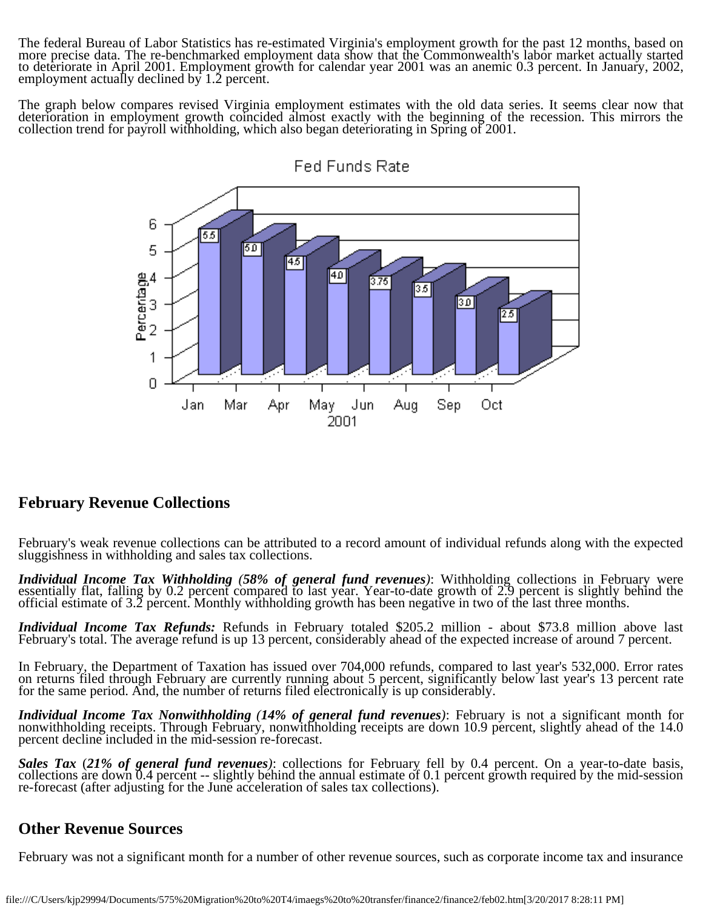The federal Bureau of Labor Statistics has re-estimated Virginia's employment growth for the past 12 months, based on more precise data. The re-benchmarked employment data show that the Commonwealth's labor market actually started<br>to deteriorate in April 2001. Employment growth for calendar year 2001 was an anemic 0.3 percent. In January,

The graph below compares revised Virginia employment estimates with the old data series. It seems clear now that<br>deterioration in employment growth coincided almost exactly with the beginning of the recession. This mirrors collection trend for payroll withholding, which also began deteriorating in Spring of 2001.



#### **February Revenue Collections**

February's weak revenue collections can be attributed to a record amount of individual refunds along with the expected sluggishness in withholding and sales tax collections.

Individual Income Tax Withholding (58% of general fund revenues): Withholding collections in February were essentially flat, falling by 0.2 percent compared to last year. Year-to-date growth of 2.9 percent is slightly behi

*Individual Income Tax Refunds:* Refunds in February totaled \$205.2 million - about \$73.8 million above last February's total. The average refund is up 13 percent, considerably ahead of the expected increase of around 7 percent.

In February, the Department of Taxation has issued over 704,000 refunds, compared to last year's 532,000. Error rates on returns filed through February are currently running about 5 percent, significantly below last year's 13 percent rate for the same period. And, the number of returns filed electronically is up considerably.

*Individual Income Tax Nonwithholding (14% of general fund revenues)*: February is not a significant month for nonwithholding receipts. Through February, nonwithholding receipts are down 10.9 percent, slightly ahead of the

Sales Tax  $(21\%$  of general fund revenues): collections for February fell by 0.4 percent. On a year-to-date basis, collections are down 0.4 percent -- slightly behind the annual estimate of 0.1 percent growth required by

#### **Other Revenue Sources**

February was not a significant month for a number of other revenue sources, such as corporate income tax and insurance